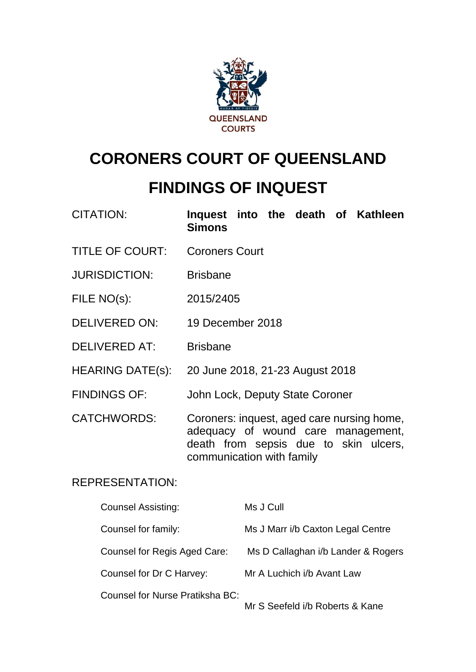

# **CORONERS COURT OF QUEENSLAND FINDINGS OF INQUEST**

| <b>CITATION:</b>       | Inquest into the death of Kathleen<br><b>Simons</b>                                                                                                    |
|------------------------|--------------------------------------------------------------------------------------------------------------------------------------------------------|
| <b>TITLE OF COURT:</b> | <b>Coroners Court</b>                                                                                                                                  |
| <b>JURISDICTION:</b>   | <b>Brisbane</b>                                                                                                                                        |
| FILE NO(s):            | 2015/2405                                                                                                                                              |
| <b>DELIVERED ON:</b>   | 19 December 2018                                                                                                                                       |
| <b>DELIVERED AT:</b>   | <b>Brisbane</b>                                                                                                                                        |
| HEARING DATE(s):       | 20 June 2018, 21-23 August 2018                                                                                                                        |
| <b>FINDINGS OF:</b>    | John Lock, Deputy State Coroner                                                                                                                        |
| <b>CATCHWORDS:</b>     | Coroners: inquest, aged care nursing home,<br>adequacy of wound care management,<br>death from sepsis due to skin ulcers,<br>communication with family |

# REPRESENTATION:

| <b>Counsel Assisting:</b>       | Ms J Cull                          |
|---------------------------------|------------------------------------|
| Counsel for family:             | Ms J Marr i/b Caxton Legal Centre  |
| Counsel for Regis Aged Care:    | Ms D Callaghan i/b Lander & Rogers |
| Counsel for Dr C Harvey:        | Mr A Luchich i/b Avant Law         |
| Counsel for Nurse Pratiksha BC: | $\blacksquare$                     |

Mr S Seefeld i/b Roberts & Kane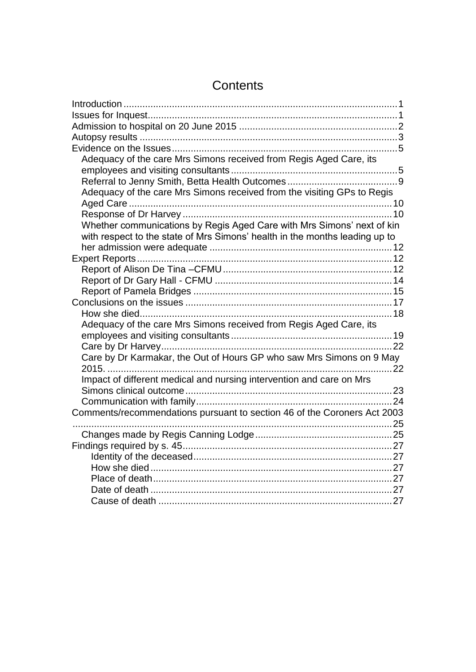| Adequacy of the care Mrs Simons received from Regis Aged Care, its          |  |
|-----------------------------------------------------------------------------|--|
|                                                                             |  |
|                                                                             |  |
| Adequacy of the care Mrs Simons received from the visiting GPs to Regis     |  |
|                                                                             |  |
|                                                                             |  |
| Whether communications by Regis Aged Care with Mrs Simons' next of kin      |  |
| with respect to the state of Mrs Simons' health in the months leading up to |  |
|                                                                             |  |
|                                                                             |  |
|                                                                             |  |
|                                                                             |  |
|                                                                             |  |
|                                                                             |  |
|                                                                             |  |
| Adequacy of the care Mrs Simons received from Regis Aged Care, its          |  |
|                                                                             |  |
|                                                                             |  |
| Care by Dr Karmakar, the Out of Hours GP who saw Mrs Simons on 9 May        |  |
|                                                                             |  |
| Impact of different medical and nursing intervention and care on Mrs        |  |
|                                                                             |  |
|                                                                             |  |
| Comments/recommendations pursuant to section 46 of the Coroners Act 2003    |  |
|                                                                             |  |
|                                                                             |  |
|                                                                             |  |
|                                                                             |  |
|                                                                             |  |
|                                                                             |  |
|                                                                             |  |
|                                                                             |  |

# **Contents**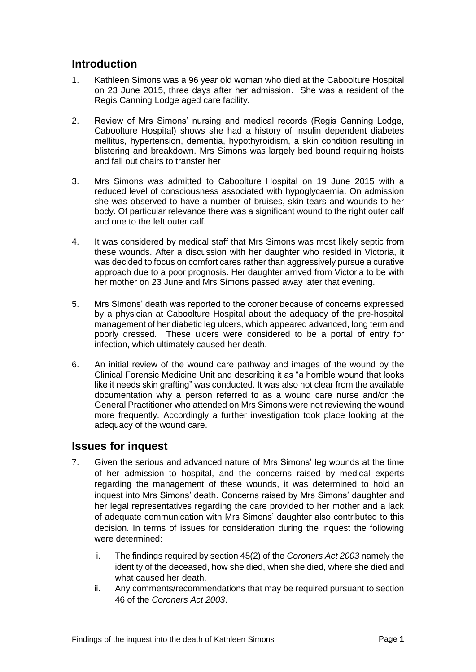# <span id="page-2-0"></span>**Introduction**

- 1. Kathleen Simons was a 96 year old woman who died at the Caboolture Hospital on 23 June 2015, three days after her admission. She was a resident of the Regis Canning Lodge aged care facility.
- 2. Review of Mrs Simons' nursing and medical records (Regis Canning Lodge, Caboolture Hospital) shows she had a history of insulin dependent diabetes mellitus, hypertension, dementia, hypothyroidism, a skin condition resulting in blistering and breakdown. Mrs Simons was largely bed bound requiring hoists and fall out chairs to transfer her
- 3. Mrs Simons was admitted to Caboolture Hospital on 19 June 2015 with a reduced level of consciousness associated with hypoglycaemia. On admission she was observed to have a number of bruises, skin tears and wounds to her body. Of particular relevance there was a significant wound to the right outer calf and one to the left outer calf.
- 4. It was considered by medical staff that Mrs Simons was most likely septic from these wounds. After a discussion with her daughter who resided in Victoria, it was decided to focus on comfort cares rather than aggressively pursue a curative approach due to a poor prognosis. Her daughter arrived from Victoria to be with her mother on 23 June and Mrs Simons passed away later that evening.
- 5. Mrs Simons' death was reported to the coroner because of concerns expressed by a physician at Caboolture Hospital about the adequacy of the pre-hospital management of her diabetic leg ulcers, which appeared advanced, long term and poorly dressed. These ulcers were considered to be a portal of entry for infection, which ultimately caused her death.
- 6. An initial review of the wound care pathway and images of the wound by the Clinical Forensic Medicine Unit and describing it as "a horrible wound that looks like it needs skin grafting" was conducted. It was also not clear from the available documentation why a person referred to as a wound care nurse and/or the General Practitioner who attended on Mrs Simons were not reviewing the wound more frequently. Accordingly a further investigation took place looking at the adequacy of the wound care.

# <span id="page-2-1"></span>**Issues for inquest**

- 7. Given the serious and advanced nature of Mrs Simons' leg wounds at the time of her admission to hospital, and the concerns raised by medical experts regarding the management of these wounds, it was determined to hold an inquest into Mrs Simons' death. Concerns raised by Mrs Simons' daughter and her legal representatives regarding the care provided to her mother and a lack of adequate communication with Mrs Simons' daughter also contributed to this decision. In terms of issues for consideration during the inquest the following were determined:
	- i. The findings required by section 45(2) of the *Coroners Act 2003* namely the identity of the deceased, how she died, when she died, where she died and what caused her death.
	- ii. Any comments/recommendations that may be required pursuant to section 46 of the *Coroners Act 2003*.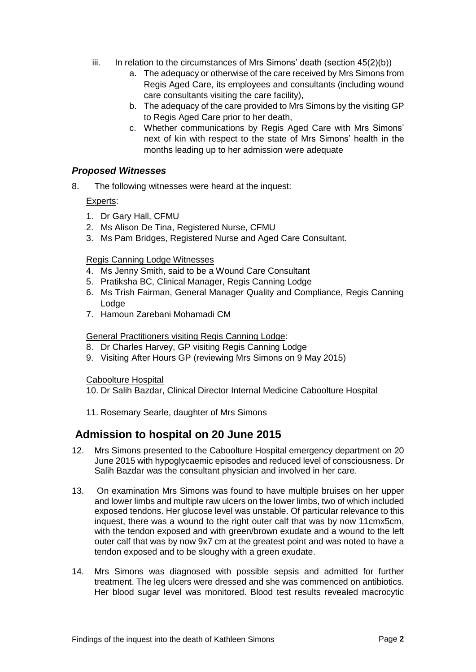- iii. In relation to the circumstances of Mrs Simons' death (section  $45(2)(b)$ )
	- a. The adequacy or otherwise of the care received by Mrs Simons from Regis Aged Care, its employees and consultants (including wound care consultants visiting the care facility),
	- b. The adequacy of the care provided to Mrs Simons by the visiting GP to Regis Aged Care prior to her death,
	- c. Whether communications by Regis Aged Care with Mrs Simons' next of kin with respect to the state of Mrs Simons' health in the months leading up to her admission were adequate

#### *Proposed Witnesses*

8. The following witnesses were heard at the inquest:

#### Experts:

- 1. Dr Gary Hall, CFMU
- 2. Ms Alison De Tina, Registered Nurse, CFMU
- 3. Ms Pam Bridges, Registered Nurse and Aged Care Consultant.

#### Regis Canning Lodge Witnesses

- 4. Ms Jenny Smith, said to be a Wound Care Consultant
- 5. Pratiksha BC, Clinical Manager, Regis Canning Lodge
- 6. Ms Trish Fairman, General Manager Quality and Compliance, Regis Canning Lodge
- 7. Hamoun Zarebani Mohamadi CM

#### General Practitioners visiting Regis Canning Lodge:

- 8. Dr Charles Harvey, GP visiting Regis Canning Lodge
- 9. Visiting After Hours GP (reviewing Mrs Simons on 9 May 2015)

#### Caboolture Hospital

10. Dr Salih Bazdar, Clinical Director Internal Medicine Caboolture Hospital

11. Rosemary Searle, daughter of Mrs Simons

# <span id="page-3-0"></span>**Admission to hospital on 20 June 2015**

- 12. Mrs Simons presented to the Caboolture Hospital emergency department on 20 June 2015 with hypoglycaemic episodes and reduced level of consciousness. Dr Salih Bazdar was the consultant physician and involved in her care.
- 13. On examination Mrs Simons was found to have multiple bruises on her upper and lower limbs and multiple raw ulcers on the lower limbs, two of which included exposed tendons. Her glucose level was unstable. Of particular relevance to this inquest, there was a wound to the right outer calf that was by now 11cmx5cm, with the tendon exposed and with green/brown exudate and a wound to the left outer calf that was by now 9x7 cm at the greatest point and was noted to have a tendon exposed and to be sloughy with a green exudate.
- 14. Mrs Simons was diagnosed with possible sepsis and admitted for further treatment. The leg ulcers were dressed and she was commenced on antibiotics. Her blood sugar level was monitored. Blood test results revealed macrocytic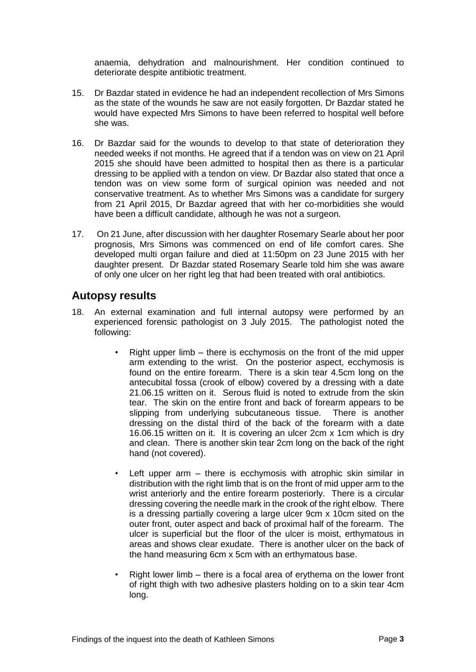anaemia, dehydration and malnourishment. Her condition continued to deteriorate despite antibiotic treatment.

- 15. Dr Bazdar stated in evidence he had an independent recollection of Mrs Simons as the state of the wounds he saw are not easily forgotten. Dr Bazdar stated he would have expected Mrs Simons to have been referred to hospital well before she was.
- 16. Dr Bazdar said for the wounds to develop to that state of deterioration they needed weeks if not months. He agreed that if a tendon was on view on 21 April 2015 she should have been admitted to hospital then as there is a particular dressing to be applied with a tendon on view. Dr Bazdar also stated that once a tendon was on view some form of surgical opinion was needed and not conservative treatment. As to whether Mrs Simons was a candidate for surgery from 21 April 2015, Dr Bazdar agreed that with her co-morbidities she would have been a difficult candidate, although he was not a surgeon.
- 17. On 21 June, after discussion with her daughter Rosemary Searle about her poor prognosis, Mrs Simons was commenced on end of life comfort cares. She developed multi organ failure and died at 11:50pm on 23 June 2015 with her daughter present. Dr Bazdar stated Rosemary Searle told him she was aware of only one ulcer on her right leg that had been treated with oral antibiotics.

# <span id="page-4-0"></span>**Autopsy results**

- 18. An external examination and full internal autopsy were performed by an experienced forensic pathologist on 3 July 2015. The pathologist noted the following:
	- Right upper limb there is ecchymosis on the front of the mid upper arm extending to the wrist. On the posterior aspect, ecchymosis is found on the entire forearm. There is a skin tear 4.5cm long on the antecubital fossa (crook of elbow) covered by a dressing with a date 21.06.15 written on it. Serous fluid is noted to extrude from the skin tear. The skin on the entire front and back of forearm appears to be slipping from underlying subcutaneous tissue. There is another dressing on the distal third of the back of the forearm with a date 16.06.15 written on it. It is covering an ulcer 2cm x 1cm which is dry and clean. There is another skin tear 2cm long on the back of the right hand (not covered).
	- Left upper arm  $-$  there is ecchymosis with atrophic skin similar in distribution with the right limb that is on the front of mid upper arm to the wrist anteriorly and the entire forearm posteriorly. There is a circular dressing covering the needle mark in the crook of the right elbow. There is a dressing partially covering a large ulcer 9cm x 10cm sited on the outer front, outer aspect and back of proximal half of the forearm. The ulcer is superficial but the floor of the ulcer is moist, erthymatous in areas and shows clear exudate. There is another ulcer on the back of the hand measuring 6cm x 5cm with an erthymatous base.
	- Right lower limb there is a focal area of erythema on the lower front of right thigh with two adhesive plasters holding on to a skin tear 4cm long.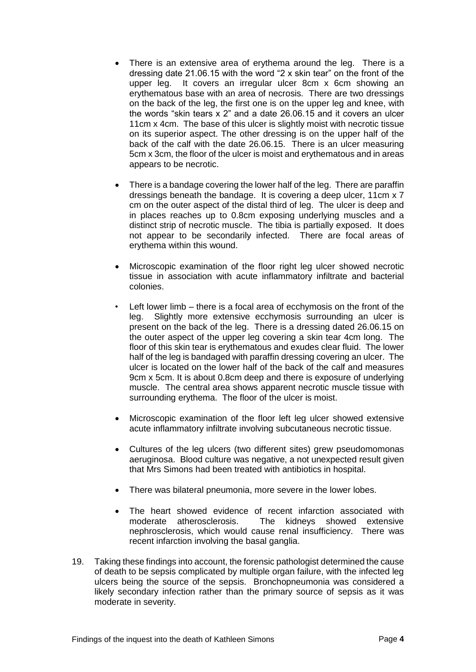- There is an extensive area of erythema around the leg. There is a dressing date 21.06.15 with the word "2 x skin tear" on the front of the upper leg. It covers an irregular ulcer 8cm x 6cm showing an erythematous base with an area of necrosis. There are two dressings on the back of the leg, the first one is on the upper leg and knee, with the words "skin tears x 2" and a date 26.06.15 and it covers an ulcer 11cm x 4cm. The base of this ulcer is slightly moist with necrotic tissue on its superior aspect. The other dressing is on the upper half of the back of the calf with the date 26.06.15. There is an ulcer measuring 5cm x 3cm, the floor of the ulcer is moist and erythematous and in areas appears to be necrotic.
- There is a bandage covering the lower half of the leg. There are paraffin dressings beneath the bandage. It is covering a deep ulcer, 11cm x 7 cm on the outer aspect of the distal third of leg. The ulcer is deep and in places reaches up to 0.8cm exposing underlying muscles and a distinct strip of necrotic muscle. The tibia is partially exposed. It does not appear to be secondarily infected. There are focal areas of erythema within this wound.
- Microscopic examination of the floor right leg ulcer showed necrotic tissue in association with acute inflammatory infiltrate and bacterial colonies.
- Left lower limb there is a focal area of ecchymosis on the front of the leg. Slightly more extensive ecchymosis surrounding an ulcer is present on the back of the leg. There is a dressing dated 26.06.15 on the outer aspect of the upper leg covering a skin tear 4cm long. The floor of this skin tear is erythematous and exudes clear fluid. The lower half of the leg is bandaged with paraffin dressing covering an ulcer. The ulcer is located on the lower half of the back of the calf and measures 9cm x 5cm. It is about 0.8cm deep and there is exposure of underlying muscle. The central area shows apparent necrotic muscle tissue with surrounding erythema. The floor of the ulcer is moist.
- Microscopic examination of the floor left leg ulcer showed extensive acute inflammatory infiltrate involving subcutaneous necrotic tissue.
- Cultures of the leg ulcers (two different sites) grew pseudomomonas aeruginosa. Blood culture was negative, a not unexpected result given that Mrs Simons had been treated with antibiotics in hospital.
- There was bilateral pneumonia, more severe in the lower lobes.
- The heart showed evidence of recent infarction associated with moderate atherosclerosis. The kidneys showed extensive nephrosclerosis, which would cause renal insufficiency. There was recent infarction involving the basal ganglia.
- 19. Taking these findings into account, the forensic pathologist determined the cause of death to be sepsis complicated by multiple organ failure, with the infected leg ulcers being the source of the sepsis. Bronchopneumonia was considered a likely secondary infection rather than the primary source of sepsis as it was moderate in severity.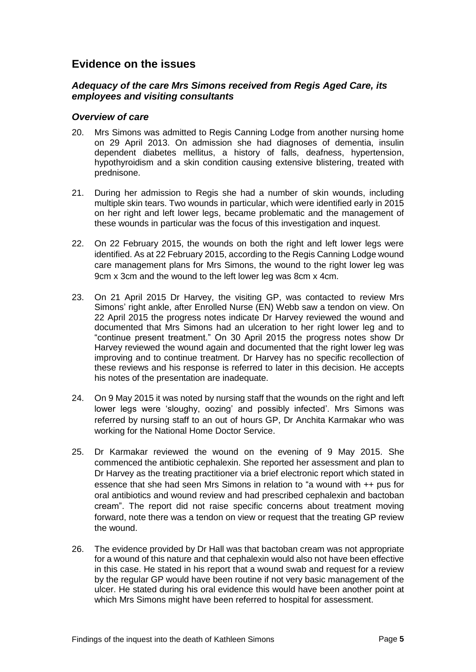# <span id="page-6-0"></span>**Evidence on the issues**

#### <span id="page-6-1"></span>*Adequacy of the care Mrs Simons received from Regis Aged Care, its employees and visiting consultants*

#### *Overview of care*

- 20. Mrs Simons was admitted to Regis Canning Lodge from another nursing home on 29 April 2013. On admission she had diagnoses of dementia, insulin dependent diabetes mellitus, a history of falls, deafness, hypertension, hypothyroidism and a skin condition causing extensive blistering, treated with prednisone.
- 21. During her admission to Regis she had a number of skin wounds, including multiple skin tears. Two wounds in particular, which were identified early in 2015 on her right and left lower legs, became problematic and the management of these wounds in particular was the focus of this investigation and inquest.
- 22. On 22 February 2015, the wounds on both the right and left lower legs were identified. As at 22 February 2015, according to the Regis Canning Lodge wound care management plans for Mrs Simons, the wound to the right lower leg was 9cm x 3cm and the wound to the left lower leg was 8cm x 4cm.
- 23. On 21 April 2015 Dr Harvey, the visiting GP, was contacted to review Mrs Simons' right ankle, after Enrolled Nurse (EN) Webb saw a tendon on view. On 22 April 2015 the progress notes indicate Dr Harvey reviewed the wound and documented that Mrs Simons had an ulceration to her right lower leg and to "continue present treatment." On 30 April 2015 the progress notes show Dr Harvey reviewed the wound again and documented that the right lower leg was improving and to continue treatment. Dr Harvey has no specific recollection of these reviews and his response is referred to later in this decision. He accepts his notes of the presentation are inadequate.
- 24. On 9 May 2015 it was noted by nursing staff that the wounds on the right and left lower legs were 'sloughy, oozing' and possibly infected'. Mrs Simons was referred by nursing staff to an out of hours GP, Dr Anchita Karmakar who was working for the National Home Doctor Service.
- 25. Dr Karmakar reviewed the wound on the evening of 9 May 2015. She commenced the antibiotic cephalexin. She reported her assessment and plan to Dr Harvey as the treating practitioner via a brief electronic report which stated in essence that she had seen Mrs Simons in relation to "a wound with ++ pus for oral antibiotics and wound review and had prescribed cephalexin and bactoban cream". The report did not raise specific concerns about treatment moving forward, note there was a tendon on view or request that the treating GP review the wound.
- 26. The evidence provided by Dr Hall was that bactoban cream was not appropriate for a wound of this nature and that cephalexin would also not have been effective in this case. He stated in his report that a wound swab and request for a review by the regular GP would have been routine if not very basic management of the ulcer. He stated during his oral evidence this would have been another point at which Mrs Simons might have been referred to hospital for assessment.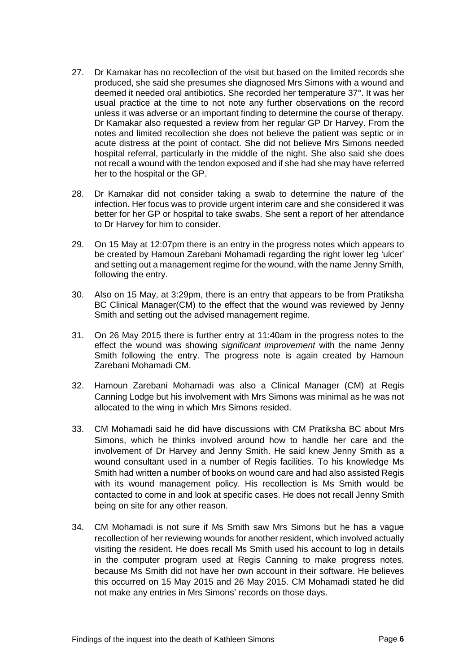- 27. Dr Kamakar has no recollection of the visit but based on the limited records she produced, she said she presumes she diagnosed Mrs Simons with a wound and deemed it needed oral antibiotics. She recorded her temperature 37°. It was her usual practice at the time to not note any further observations on the record unless it was adverse or an important finding to determine the course of therapy. Dr Kamakar also requested a review from her regular GP Dr Harvey. From the notes and limited recollection she does not believe the patient was septic or in acute distress at the point of contact. She did not believe Mrs Simons needed hospital referral, particularly in the middle of the night. She also said she does not recall a wound with the tendon exposed and if she had she may have referred her to the hospital or the GP.
- 28. Dr Kamakar did not consider taking a swab to determine the nature of the infection. Her focus was to provide urgent interim care and she considered it was better for her GP or hospital to take swabs. She sent a report of her attendance to Dr Harvey for him to consider.
- 29. On 15 May at 12:07pm there is an entry in the progress notes which appears to be created by Hamoun Zarebani Mohamadi regarding the right lower leg 'ulcer' and setting out a management regime for the wound, with the name Jenny Smith, following the entry.
- 30. Also on 15 May, at 3:29pm, there is an entry that appears to be from Pratiksha BC Clinical Manager(CM) to the effect that the wound was reviewed by Jenny Smith and setting out the advised management regime.
- 31. On 26 May 2015 there is further entry at 11:40am in the progress notes to the effect the wound was showing *significant improvement* with the name Jenny Smith following the entry. The progress note is again created by Hamoun Zarebani Mohamadi CM.
- 32. Hamoun Zarebani Mohamadi was also a Clinical Manager (CM) at Regis Canning Lodge but his involvement with Mrs Simons was minimal as he was not allocated to the wing in which Mrs Simons resided.
- 33. CM Mohamadi said he did have discussions with CM Pratiksha BC about Mrs Simons, which he thinks involved around how to handle her care and the involvement of Dr Harvey and Jenny Smith. He said knew Jenny Smith as a wound consultant used in a number of Regis facilities. To his knowledge Ms Smith had written a number of books on wound care and had also assisted Regis with its wound management policy. His recollection is Ms Smith would be contacted to come in and look at specific cases. He does not recall Jenny Smith being on site for any other reason.
- 34. CM Mohamadi is not sure if Ms Smith saw Mrs Simons but he has a vague recollection of her reviewing wounds for another resident, which involved actually visiting the resident. He does recall Ms Smith used his account to log in details in the computer program used at Regis Canning to make progress notes, because Ms Smith did not have her own account in their software. He believes this occurred on 15 May 2015 and 26 May 2015. CM Mohamadi stated he did not make any entries in Mrs Simons' records on those days.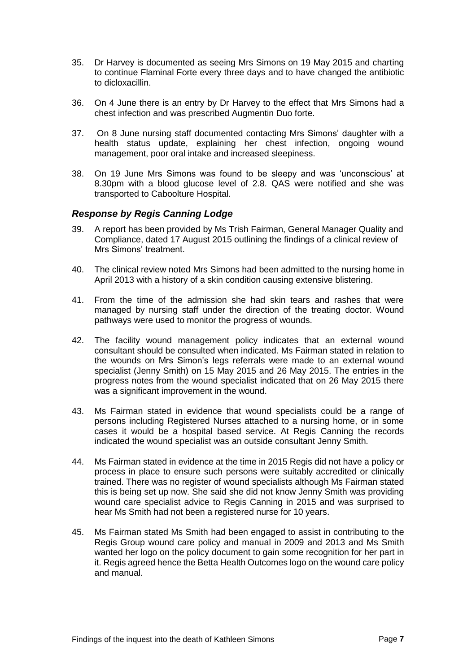- 35. Dr Harvey is documented as seeing Mrs Simons on 19 May 2015 and charting to continue Flaminal Forte every three days and to have changed the antibiotic to dicloxacillin.
- 36. On 4 June there is an entry by Dr Harvey to the effect that Mrs Simons had a chest infection and was prescribed Augmentin Duo forte.
- 37. On 8 June nursing staff documented contacting Mrs Simons' daughter with a health status update, explaining her chest infection, ongoing wound management, poor oral intake and increased sleepiness.
- 38. On 19 June Mrs Simons was found to be sleepy and was 'unconscious' at 8.30pm with a blood glucose level of 2.8. QAS were notified and she was transported to Caboolture Hospital.

#### *Response by Regis Canning Lodge*

- 39. A report has been provided by Ms Trish Fairman, General Manager Quality and Compliance, dated 17 August 2015 outlining the findings of a clinical review of Mrs Simons' treatment.
- 40. The clinical review noted Mrs Simons had been admitted to the nursing home in April 2013 with a history of a skin condition causing extensive blistering.
- 41. From the time of the admission she had skin tears and rashes that were managed by nursing staff under the direction of the treating doctor. Wound pathways were used to monitor the progress of wounds.
- 42. The facility wound management policy indicates that an external wound consultant should be consulted when indicated. Ms Fairman stated in relation to the wounds on Mrs Simon's legs referrals were made to an external wound specialist (Jenny Smith) on 15 May 2015 and 26 May 2015. The entries in the progress notes from the wound specialist indicated that on 26 May 2015 there was a significant improvement in the wound.
- 43. Ms Fairman stated in evidence that wound specialists could be a range of persons including Registered Nurses attached to a nursing home, or in some cases it would be a hospital based service. At Regis Canning the records indicated the wound specialist was an outside consultant Jenny Smith.
- 44. Ms Fairman stated in evidence at the time in 2015 Regis did not have a policy or process in place to ensure such persons were suitably accredited or clinically trained. There was no register of wound specialists although Ms Fairman stated this is being set up now. She said she did not know Jenny Smith was providing wound care specialist advice to Regis Canning in 2015 and was surprised to hear Ms Smith had not been a registered nurse for 10 years.
- 45. Ms Fairman stated Ms Smith had been engaged to assist in contributing to the Regis Group wound care policy and manual in 2009 and 2013 and Ms Smith wanted her logo on the policy document to gain some recognition for her part in it. Regis agreed hence the Betta Health Outcomes logo on the wound care policy and manual.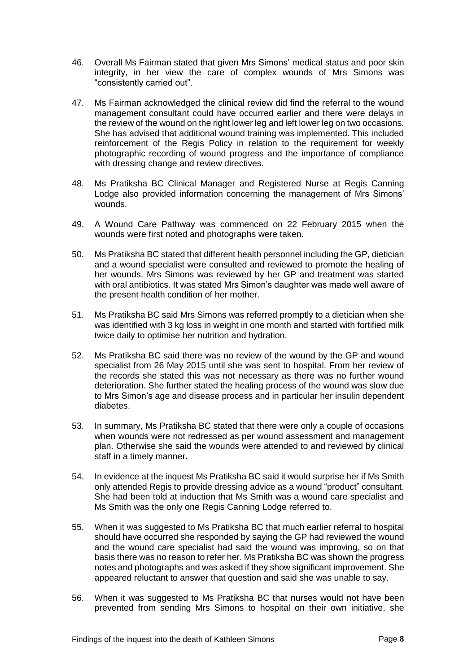- 46. Overall Ms Fairman stated that given Mrs Simons' medical status and poor skin integrity, in her view the care of complex wounds of Mrs Simons was "consistently carried out".
- 47. Ms Fairman acknowledged the clinical review did find the referral to the wound management consultant could have occurred earlier and there were delays in the review of the wound on the right lower leg and left lower leg on two occasions. She has advised that additional wound training was implemented. This included reinforcement of the Regis Policy in relation to the requirement for weekly photographic recording of wound progress and the importance of compliance with dressing change and review directives.
- 48. Ms Pratiksha BC Clinical Manager and Registered Nurse at Regis Canning Lodge also provided information concerning the management of Mrs Simons' wounds.
- 49. A Wound Care Pathway was commenced on 22 February 2015 when the wounds were first noted and photographs were taken.
- 50. Ms Pratiksha BC stated that different health personnel including the GP, dietician and a wound specialist were consulted and reviewed to promote the healing of her wounds. Mrs Simons was reviewed by her GP and treatment was started with oral antibiotics. It was stated Mrs Simon's daughter was made well aware of the present health condition of her mother.
- 51. Ms Pratiksha BC said Mrs Simons was referred promptly to a dietician when she was identified with 3 kg loss in weight in one month and started with fortified milk twice daily to optimise her nutrition and hydration.
- 52. Ms Pratiksha BC said there was no review of the wound by the GP and wound specialist from 26 May 2015 until she was sent to hospital. From her review of the records she stated this was not necessary as there was no further wound deterioration. She further stated the healing process of the wound was slow due to Mrs Simon's age and disease process and in particular her insulin dependent diabetes.
- 53. In summary, Ms Pratiksha BC stated that there were only a couple of occasions when wounds were not redressed as per wound assessment and management plan. Otherwise she said the wounds were attended to and reviewed by clinical staff in a timely manner.
- 54. In evidence at the inquest Ms Pratiksha BC said it would surprise her if Ms Smith only attended Regis to provide dressing advice as a wound "product" consultant. She had been told at induction that Ms Smith was a wound care specialist and Ms Smith was the only one Regis Canning Lodge referred to.
- 55. When it was suggested to Ms Pratiksha BC that much earlier referral to hospital should have occurred she responded by saying the GP had reviewed the wound and the wound care specialist had said the wound was improving, so on that basis there was no reason to refer her. Ms Pratiksha BC was shown the progress notes and photographs and was asked if they show significant improvement. She appeared reluctant to answer that question and said she was unable to say.
- 56. When it was suggested to Ms Pratiksha BC that nurses would not have been prevented from sending Mrs Simons to hospital on their own initiative, she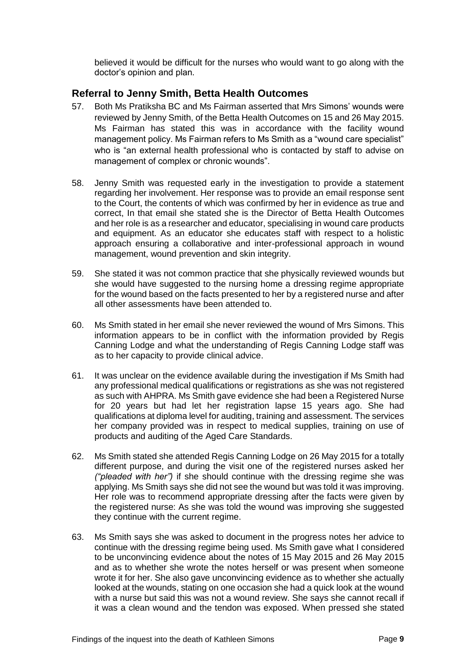believed it would be difficult for the nurses who would want to go along with the doctor's opinion and plan.

### <span id="page-10-0"></span>**Referral to Jenny Smith, Betta Health Outcomes**

- 57. Both Ms Pratiksha BC and Ms Fairman asserted that Mrs Simons' wounds were reviewed by Jenny Smith, of the Betta Health Outcomes on 15 and 26 May 2015. Ms Fairman has stated this was in accordance with the facility wound management policy. Ms Fairman refers to Ms Smith as a "wound care specialist" who is "an external health professional who is contacted by staff to advise on management of complex or chronic wounds".
- 58. Jenny Smith was requested early in the investigation to provide a statement regarding her involvement. Her response was to provide an email response sent to the Court, the contents of which was confirmed by her in evidence as true and correct, In that email she stated she is the Director of Betta Health Outcomes and her role is as a researcher and educator, specialising in wound care products and equipment. As an educator she educates staff with respect to a holistic approach ensuring a collaborative and inter-professional approach in wound management, wound prevention and skin integrity.
- 59. She stated it was not common practice that she physically reviewed wounds but she would have suggested to the nursing home a dressing regime appropriate for the wound based on the facts presented to her by a registered nurse and after all other assessments have been attended to.
- 60. Ms Smith stated in her email she never reviewed the wound of Mrs Simons. This information appears to be in conflict with the information provided by Regis Canning Lodge and what the understanding of Regis Canning Lodge staff was as to her capacity to provide clinical advice.
- 61. It was unclear on the evidence available during the investigation if Ms Smith had any professional medical qualifications or registrations as she was not registered as such with AHPRA. Ms Smith gave evidence she had been a Registered Nurse for 20 years but had let her registration lapse 15 years ago. She had qualifications at diploma level for auditing, training and assessment. The services her company provided was in respect to medical supplies, training on use of products and auditing of the Aged Care Standards.
- 62. Ms Smith stated she attended Regis Canning Lodge on 26 May 2015 for a totally different purpose, and during the visit one of the registered nurses asked her *("pleaded with her")* if she should continue with the dressing regime she was applying. Ms Smith says she did not see the wound but was told it was improving. Her role was to recommend appropriate dressing after the facts were given by the registered nurse: As she was told the wound was improving she suggested they continue with the current regime.
- 63. Ms Smith says she was asked to document in the progress notes her advice to continue with the dressing regime being used. Ms Smith gave what I considered to be unconvincing evidence about the notes of 15 May 2015 and 26 May 2015 and as to whether she wrote the notes herself or was present when someone wrote it for her. She also gave unconvincing evidence as to whether she actually looked at the wounds, stating on one occasion she had a quick look at the wound with a nurse but said this was not a wound review. She says she cannot recall if it was a clean wound and the tendon was exposed. When pressed she stated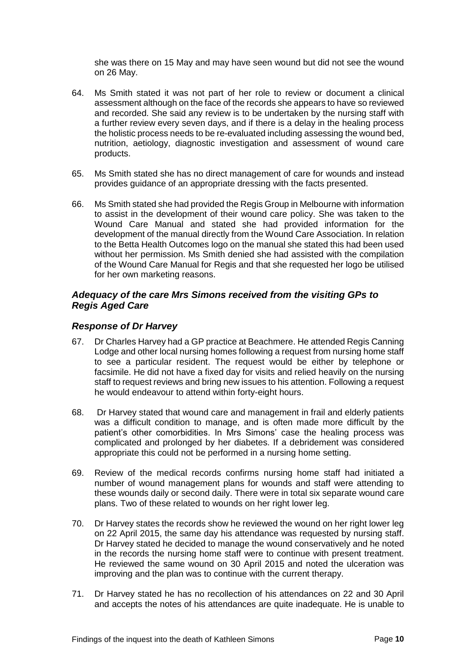she was there on 15 May and may have seen wound but did not see the wound on 26 May.

- 64. Ms Smith stated it was not part of her role to review or document a clinical assessment although on the face of the records she appears to have so reviewed and recorded. She said any review is to be undertaken by the nursing staff with a further review every seven days, and if there is a delay in the healing process the holistic process needs to be re-evaluated including assessing the wound bed, nutrition, aetiology, diagnostic investigation and assessment of wound care products.
- 65. Ms Smith stated she has no direct management of care for wounds and instead provides guidance of an appropriate dressing with the facts presented.
- 66. Ms Smith stated she had provided the Regis Group in Melbourne with information to assist in the development of their wound care policy. She was taken to the Wound Care Manual and stated she had provided information for the development of the manual directly from the Wound Care Association. In relation to the Betta Health Outcomes logo on the manual she stated this had been used without her permission. Ms Smith denied she had assisted with the compilation of the Wound Care Manual for Regis and that she requested her logo be utilised for her own marketing reasons.

#### <span id="page-11-0"></span>*Adequacy of the care Mrs Simons received from the visiting GPs to Regis Aged Care*

#### <span id="page-11-1"></span>*Response of Dr Harvey*

- 67. Dr Charles Harvey had a GP practice at Beachmere. He attended Regis Canning Lodge and other local nursing homes following a request from nursing home staff to see a particular resident. The request would be either by telephone or facsimile. He did not have a fixed day for visits and relied heavily on the nursing staff to request reviews and bring new issues to his attention. Following a request he would endeavour to attend within forty-eight hours.
- 68. Dr Harvey stated that wound care and management in frail and elderly patients was a difficult condition to manage, and is often made more difficult by the patient's other comorbidities. In Mrs Simons' case the healing process was complicated and prolonged by her diabetes. If a debridement was considered appropriate this could not be performed in a nursing home setting.
- 69. Review of the medical records confirms nursing home staff had initiated a number of wound management plans for wounds and staff were attending to these wounds daily or second daily. There were in total six separate wound care plans. Two of these related to wounds on her right lower leg.
- 70. Dr Harvey states the records show he reviewed the wound on her right lower leg on 22 April 2015, the same day his attendance was requested by nursing staff. Dr Harvey stated he decided to manage the wound conservatively and he noted in the records the nursing home staff were to continue with present treatment. He reviewed the same wound on 30 April 2015 and noted the ulceration was improving and the plan was to continue with the current therapy.
- 71. Dr Harvey stated he has no recollection of his attendances on 22 and 30 April and accepts the notes of his attendances are quite inadequate. He is unable to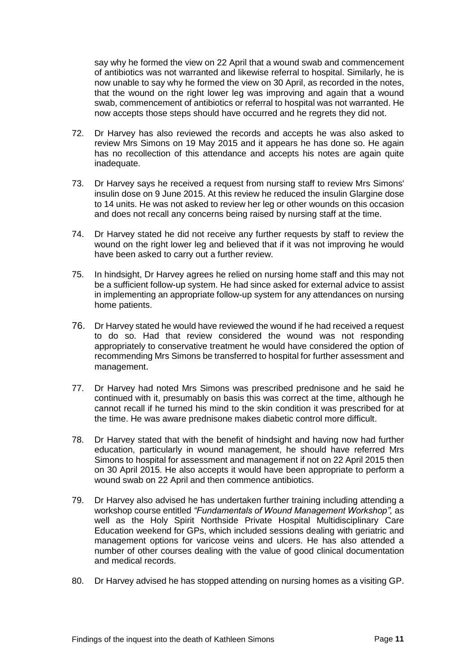say why he formed the view on 22 April that a wound swab and commencement of antibiotics was not warranted and likewise referral to hospital. Similarly, he is now unable to say why he formed the view on 30 April, as recorded in the notes, that the wound on the right lower leg was improving and again that a wound swab, commencement of antibiotics or referral to hospital was not warranted. He now accepts those steps should have occurred and he regrets they did not.

- 72. Dr Harvey has also reviewed the records and accepts he was also asked to review Mrs Simons on 19 May 2015 and it appears he has done so. He again has no recollection of this attendance and accepts his notes are again quite inadequate.
- 73. Dr Harvey says he received a request from nursing staff to review Mrs Simons' insulin dose on 9 June 2015. At this review he reduced the insulin Glargine dose to 14 units. He was not asked to review her leg or other wounds on this occasion and does not recall any concerns being raised by nursing staff at the time.
- 74. Dr Harvey stated he did not receive any further requests by staff to review the wound on the right lower leg and believed that if it was not improving he would have been asked to carry out a further review.
- 75. In hindsight, Dr Harvey agrees he relied on nursing home staff and this may not be a sufficient follow-up system. He had since asked for external advice to assist in implementing an appropriate follow-up system for any attendances on nursing home patients.
- 76. Dr Harvey stated he would have reviewed the wound if he had received a request to do so. Had that review considered the wound was not responding appropriately to conservative treatment he would have considered the option of recommending Mrs Simons be transferred to hospital for further assessment and management.
- 77. Dr Harvey had noted Mrs Simons was prescribed prednisone and he said he continued with it, presumably on basis this was correct at the time, although he cannot recall if he turned his mind to the skin condition it was prescribed for at the time. He was aware prednisone makes diabetic control more difficult.
- 78. Dr Harvey stated that with the benefit of hindsight and having now had further education, particularly in wound management, he should have referred Mrs Simons to hospital for assessment and management if not on 22 April 2015 then on 30 April 2015. He also accepts it would have been appropriate to perform a wound swab on 22 April and then commence antibiotics.
- 79. Dr Harvey also advised he has undertaken further training including attending a workshop course entitled *"Fundamentals of Wound Management Workshop",* as well as the Holy Spirit Northside Private Hospital Multidisciplinary Care Education weekend for GPs, which included sessions dealing with geriatric and management options for varicose veins and ulcers. He has also attended a number of other courses dealing with the value of good clinical documentation and medical records.
- 80. Dr Harvey advised he has stopped attending on nursing homes as a visiting GP.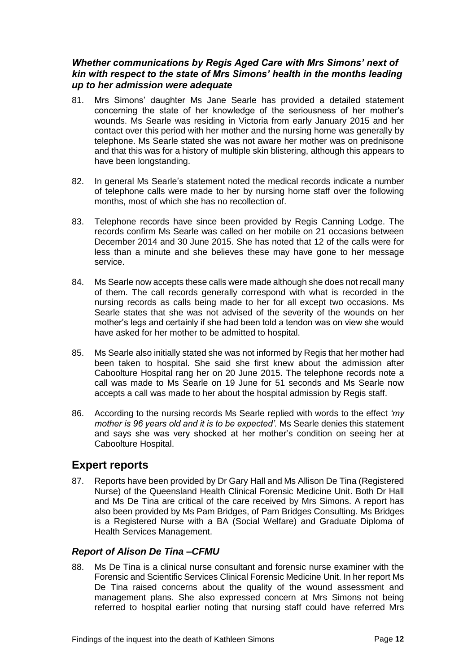#### <span id="page-13-0"></span>*Whether communications by Regis Aged Care with Mrs Simons' next of kin with respect to the state of Mrs Simons' health in the months leading up to her admission were adequate*

- 81. Mrs Simons' daughter Ms Jane Searle has provided a detailed statement concerning the state of her knowledge of the seriousness of her mother's wounds. Ms Searle was residing in Victoria from early January 2015 and her contact over this period with her mother and the nursing home was generally by telephone. Ms Searle stated she was not aware her mother was on prednisone and that this was for a history of multiple skin blistering, although this appears to have been longstanding.
- 82. In general Ms Searle's statement noted the medical records indicate a number of telephone calls were made to her by nursing home staff over the following months, most of which she has no recollection of.
- 83. Telephone records have since been provided by Regis Canning Lodge. The records confirm Ms Searle was called on her mobile on 21 occasions between December 2014 and 30 June 2015. She has noted that 12 of the calls were for less than a minute and she believes these may have gone to her message service.
- 84. Ms Searle now accepts these calls were made although she does not recall many of them. The call records generally correspond with what is recorded in the nursing records as calls being made to her for all except two occasions. Ms Searle states that she was not advised of the severity of the wounds on her mother's legs and certainly if she had been told a tendon was on view she would have asked for her mother to be admitted to hospital.
- 85. Ms Searle also initially stated she was not informed by Regis that her mother had been taken to hospital. She said she first knew about the admission after Caboolture Hospital rang her on 20 June 2015. The telephone records note a call was made to Ms Searle on 19 June for 51 seconds and Ms Searle now accepts a call was made to her about the hospital admission by Regis staff.
- 86. According to the nursing records Ms Searle replied with words to the effect *'my mother is 96 years old and it is to be expected'.* Ms Searle denies this statement and says she was very shocked at her mother's condition on seeing her at Caboolture Hospital.

# <span id="page-13-1"></span>**Expert reports**

87. Reports have been provided by Dr Gary Hall and Ms Allison De Tina (Registered Nurse) of the Queensland Health Clinical Forensic Medicine Unit. Both Dr Hall and Ms De Tina are critical of the care received by Mrs Simons. A report has also been provided by Ms Pam Bridges, of Pam Bridges Consulting. Ms Bridges is a Registered Nurse with a BA (Social Welfare) and Graduate Diploma of Health Services Management.

#### <span id="page-13-2"></span>*Report of Alison De Tina –CFMU*

88. Ms De Tina is a clinical nurse consultant and forensic nurse examiner with the Forensic and Scientific Services Clinical Forensic Medicine Unit. In her report Ms De Tina raised concerns about the quality of the wound assessment and management plans. She also expressed concern at Mrs Simons not being referred to hospital earlier noting that nursing staff could have referred Mrs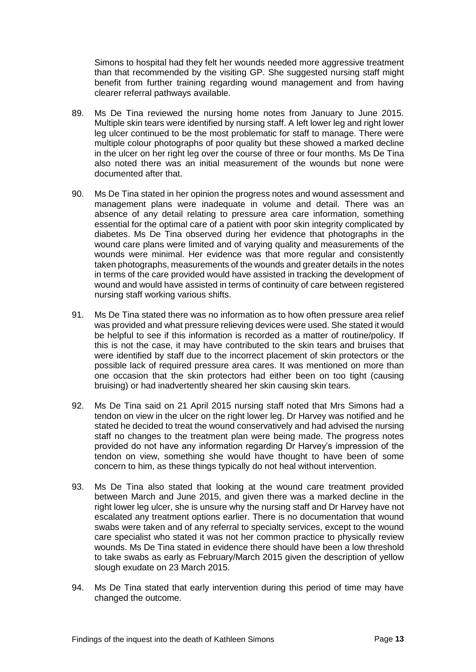Simons to hospital had they felt her wounds needed more aggressive treatment than that recommended by the visiting GP. She suggested nursing staff might benefit from further training regarding wound management and from having clearer referral pathways available.

- 89. Ms De Tina reviewed the nursing home notes from January to June 2015. Multiple skin tears were identified by nursing staff. A left lower leg and right lower leg ulcer continued to be the most problematic for staff to manage. There were multiple colour photographs of poor quality but these showed a marked decline in the ulcer on her right leg over the course of three or four months. Ms De Tina also noted there was an initial measurement of the wounds but none were documented after that.
- 90. Ms De Tina stated in her opinion the progress notes and wound assessment and management plans were inadequate in volume and detail. There was an absence of any detail relating to pressure area care information, something essential for the optimal care of a patient with poor skin integrity complicated by diabetes. Ms De Tina observed during her evidence that photographs in the wound care plans were limited and of varying quality and measurements of the wounds were minimal. Her evidence was that more regular and consistently taken photographs, measurements of the wounds and greater details in the notes in terms of the care provided would have assisted in tracking the development of wound and would have assisted in terms of continuity of care between registered nursing staff working various shifts.
- 91. Ms De Tina stated there was no information as to how often pressure area relief was provided and what pressure relieving devices were used. She stated it would be helpful to see if this information is recorded as a matter of routine/policy. If this is not the case, it may have contributed to the skin tears and bruises that were identified by staff due to the incorrect placement of skin protectors or the possible lack of required pressure area cares. It was mentioned on more than one occasion that the skin protectors had either been on too tight (causing bruising) or had inadvertently sheared her skin causing skin tears.
- 92. Ms De Tina said on 21 April 2015 nursing staff noted that Mrs Simons had a tendon on view in the ulcer on the right lower leg. Dr Harvey was notified and he stated he decided to treat the wound conservatively and had advised the nursing staff no changes to the treatment plan were being made. The progress notes provided do not have any information regarding Dr Harvey's impression of the tendon on view, something she would have thought to have been of some concern to him, as these things typically do not heal without intervention.
- 93. Ms De Tina also stated that looking at the wound care treatment provided between March and June 2015, and given there was a marked decline in the right lower leg ulcer, she is unsure why the nursing staff and Dr Harvey have not escalated any treatment options earlier. There is no documentation that wound swabs were taken and of any referral to specialty services, except to the wound care specialist who stated it was not her common practice to physically review wounds. Ms De Tina stated in evidence there should have been a low threshold to take swabs as early as February/March 2015 given the description of yellow slough exudate on 23 March 2015.
- 94. Ms De Tina stated that early intervention during this period of time may have changed the outcome.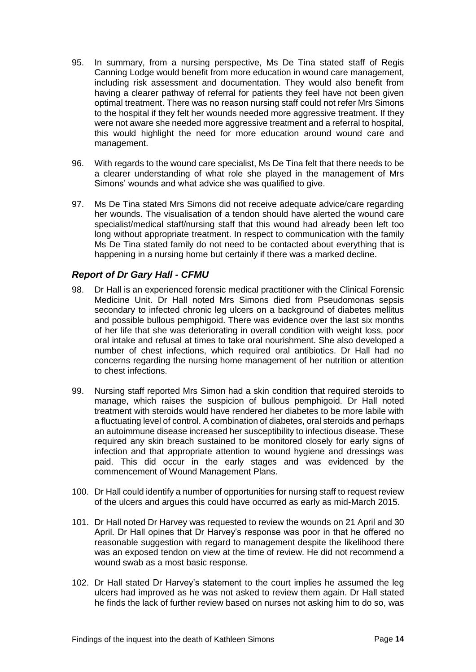- 95. In summary, from a nursing perspective, Ms De Tina stated staff of Regis Canning Lodge would benefit from more education in wound care management, including risk assessment and documentation. They would also benefit from having a clearer pathway of referral for patients they feel have not been given optimal treatment. There was no reason nursing staff could not refer Mrs Simons to the hospital if they felt her wounds needed more aggressive treatment. If they were not aware she needed more aggressive treatment and a referral to hospital, this would highlight the need for more education around wound care and management.
- 96. With regards to the wound care specialist, Ms De Tina felt that there needs to be a clearer understanding of what role she played in the management of Mrs Simons' wounds and what advice she was qualified to give.
- 97. Ms De Tina stated Mrs Simons did not receive adequate advice/care regarding her wounds. The visualisation of a tendon should have alerted the wound care specialist/medical staff/nursing staff that this wound had already been left too long without appropriate treatment. In respect to communication with the family Ms De Tina stated family do not need to be contacted about everything that is happening in a nursing home but certainly if there was a marked decline.

#### <span id="page-15-0"></span>*Report of Dr Gary Hall - CFMU*

- 98. Dr Hall is an experienced forensic medical practitioner with the Clinical Forensic Medicine Unit. Dr Hall noted Mrs Simons died from Pseudomonas sepsis secondary to infected chronic leg ulcers on a background of diabetes mellitus and possible bullous pemphigoid. There was evidence over the last six months of her life that she was deteriorating in overall condition with weight loss, poor oral intake and refusal at times to take oral nourishment. She also developed a number of chest infections, which required oral antibiotics. Dr Hall had no concerns regarding the nursing home management of her nutrition or attention to chest infections.
- 99. Nursing staff reported Mrs Simon had a skin condition that required steroids to manage, which raises the suspicion of bullous pemphigoid. Dr Hall noted treatment with steroids would have rendered her diabetes to be more labile with a fluctuating level of control. A combination of diabetes, oral steroids and perhaps an autoimmune disease increased her susceptibility to infectious disease. These required any skin breach sustained to be monitored closely for early signs of infection and that appropriate attention to wound hygiene and dressings was paid. This did occur in the early stages and was evidenced by the commencement of Wound Management Plans.
- 100. Dr Hall could identify a number of opportunities for nursing staff to request review of the ulcers and argues this could have occurred as early as mid-March 2015.
- 101. Dr Hall noted Dr Harvey was requested to review the wounds on 21 April and 30 April. Dr Hall opines that Dr Harvey's response was poor in that he offered no reasonable suggestion with regard to management despite the likelihood there was an exposed tendon on view at the time of review. He did not recommend a wound swab as a most basic response.
- 102. Dr Hall stated Dr Harvey's statement to the court implies he assumed the leg ulcers had improved as he was not asked to review them again. Dr Hall stated he finds the lack of further review based on nurses not asking him to do so, was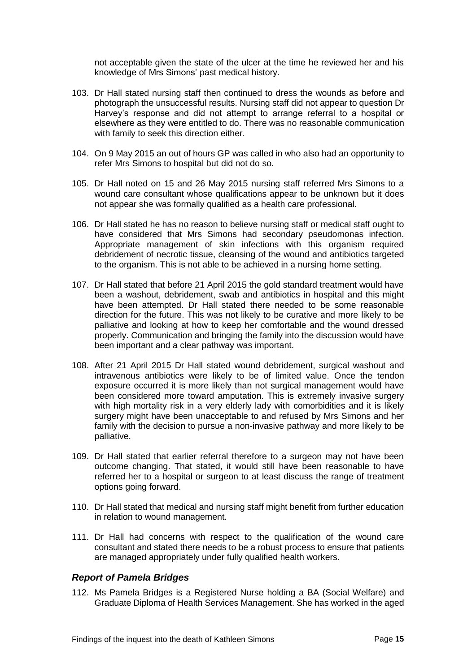not acceptable given the state of the ulcer at the time he reviewed her and his knowledge of Mrs Simons' past medical history.

- 103. Dr Hall stated nursing staff then continued to dress the wounds as before and photograph the unsuccessful results. Nursing staff did not appear to question Dr Harvey's response and did not attempt to arrange referral to a hospital or elsewhere as they were entitled to do. There was no reasonable communication with family to seek this direction either.
- 104. On 9 May 2015 an out of hours GP was called in who also had an opportunity to refer Mrs Simons to hospital but did not do so.
- 105. Dr Hall noted on 15 and 26 May 2015 nursing staff referred Mrs Simons to a wound care consultant whose qualifications appear to be unknown but it does not appear she was formally qualified as a health care professional.
- 106. Dr Hall stated he has no reason to believe nursing staff or medical staff ought to have considered that Mrs Simons had secondary pseudomonas infection. Appropriate management of skin infections with this organism required debridement of necrotic tissue, cleansing of the wound and antibiotics targeted to the organism. This is not able to be achieved in a nursing home setting.
- 107. Dr Hall stated that before 21 April 2015 the gold standard treatment would have been a washout, debridement, swab and antibiotics in hospital and this might have been attempted. Dr Hall stated there needed to be some reasonable direction for the future. This was not likely to be curative and more likely to be palliative and looking at how to keep her comfortable and the wound dressed properly. Communication and bringing the family into the discussion would have been important and a clear pathway was important.
- 108. After 21 April 2015 Dr Hall stated wound debridement, surgical washout and intravenous antibiotics were likely to be of limited value. Once the tendon exposure occurred it is more likely than not surgical management would have been considered more toward amputation. This is extremely invasive surgery with high mortality risk in a very elderly lady with comorbidities and it is likely surgery might have been unacceptable to and refused by Mrs Simons and her family with the decision to pursue a non-invasive pathway and more likely to be palliative.
- 109. Dr Hall stated that earlier referral therefore to a surgeon may not have been outcome changing. That stated, it would still have been reasonable to have referred her to a hospital or surgeon to at least discuss the range of treatment options going forward.
- 110. Dr Hall stated that medical and nursing staff might benefit from further education in relation to wound management.
- 111. Dr Hall had concerns with respect to the qualification of the wound care consultant and stated there needs to be a robust process to ensure that patients are managed appropriately under fully qualified health workers.

#### <span id="page-16-0"></span>*Report of Pamela Bridges*

112. Ms Pamela Bridges is a Registered Nurse holding a BA (Social Welfare) and Graduate Diploma of Health Services Management. She has worked in the aged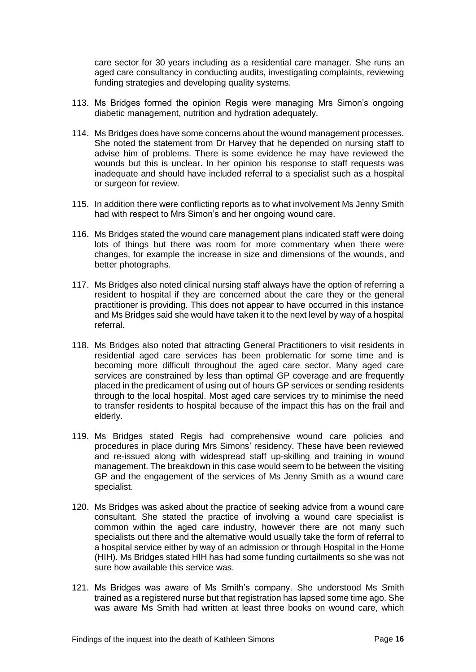care sector for 30 years including as a residential care manager. She runs an aged care consultancy in conducting audits, investigating complaints, reviewing funding strategies and developing quality systems.

- 113. Ms Bridges formed the opinion Regis were managing Mrs Simon's ongoing diabetic management, nutrition and hydration adequately.
- 114. Ms Bridges does have some concerns about the wound management processes. She noted the statement from Dr Harvey that he depended on nursing staff to advise him of problems. There is some evidence he may have reviewed the wounds but this is unclear. In her opinion his response to staff requests was inadequate and should have included referral to a specialist such as a hospital or surgeon for review.
- 115. In addition there were conflicting reports as to what involvement Ms Jenny Smith had with respect to Mrs Simon's and her ongoing wound care.
- 116. Ms Bridges stated the wound care management plans indicated staff were doing lots of things but there was room for more commentary when there were changes, for example the increase in size and dimensions of the wounds, and better photographs.
- 117. Ms Bridges also noted clinical nursing staff always have the option of referring a resident to hospital if they are concerned about the care they or the general practitioner is providing. This does not appear to have occurred in this instance and Ms Bridges said she would have taken it to the next level by way of a hospital referral.
- 118. Ms Bridges also noted that attracting General Practitioners to visit residents in residential aged care services has been problematic for some time and is becoming more difficult throughout the aged care sector. Many aged care services are constrained by less than optimal GP coverage and are frequently placed in the predicament of using out of hours GP services or sending residents through to the local hospital. Most aged care services try to minimise the need to transfer residents to hospital because of the impact this has on the frail and elderly.
- 119. Ms Bridges stated Regis had comprehensive wound care policies and procedures in place during Mrs Simons' residency. These have been reviewed and re-issued along with widespread staff up-skilling and training in wound management. The breakdown in this case would seem to be between the visiting GP and the engagement of the services of Ms Jenny Smith as a wound care specialist.
- 120. Ms Bridges was asked about the practice of seeking advice from a wound care consultant. She stated the practice of involving a wound care specialist is common within the aged care industry, however there are not many such specialists out there and the alternative would usually take the form of referral to a hospital service either by way of an admission or through Hospital in the Home (HIH). Ms Bridges stated HIH has had some funding curtailments so she was not sure how available this service was.
- 121. Ms Bridges was aware of Ms Smith's company. She understood Ms Smith trained as a registered nurse but that registration has lapsed some time ago. She was aware Ms Smith had written at least three books on wound care, which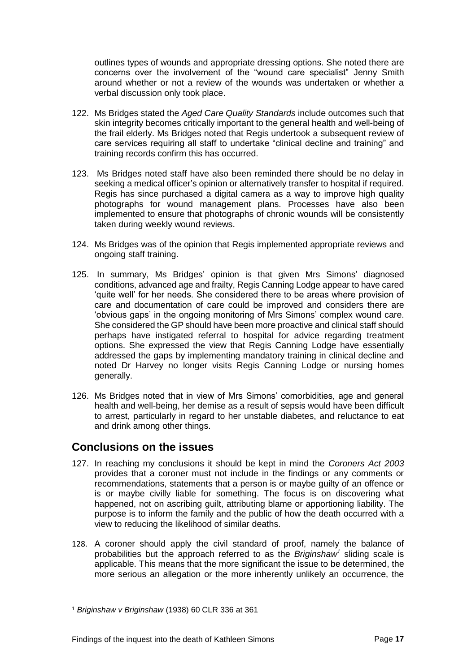outlines types of wounds and appropriate dressing options. She noted there are concerns over the involvement of the "wound care specialist" Jenny Smith around whether or not a review of the wounds was undertaken or whether a verbal discussion only took place.

- 122. Ms Bridges stated the *Aged Care Quality Standards* include outcomes such that skin integrity becomes critically important to the general health and well-being of the frail elderly. Ms Bridges noted that Regis undertook a subsequent review of care services requiring all staff to undertake "clinical decline and training" and training records confirm this has occurred.
- 123. Ms Bridges noted staff have also been reminded there should be no delay in seeking a medical officer's opinion or alternatively transfer to hospital if required. Regis has since purchased a digital camera as a way to improve high quality photographs for wound management plans. Processes have also been implemented to ensure that photographs of chronic wounds will be consistently taken during weekly wound reviews.
- 124. Ms Bridges was of the opinion that Regis implemented appropriate reviews and ongoing staff training.
- 125. In summary, Ms Bridges' opinion is that given Mrs Simons' diagnosed conditions, advanced age and frailty, Regis Canning Lodge appear to have cared 'quite well' for her needs. She considered there to be areas where provision of care and documentation of care could be improved and considers there are 'obvious gaps' in the ongoing monitoring of Mrs Simons' complex wound care. She considered the GP should have been more proactive and clinical staff should perhaps have instigated referral to hospital for advice regarding treatment options. She expressed the view that Regis Canning Lodge have essentially addressed the gaps by implementing mandatory training in clinical decline and noted Dr Harvey no longer visits Regis Canning Lodge or nursing homes generally.
- 126. Ms Bridges noted that in view of Mrs Simons' comorbidities, age and general health and well-being, her demise as a result of sepsis would have been difficult to arrest, particularly in regard to her unstable diabetes, and reluctance to eat and drink among other things.

# <span id="page-18-0"></span>**Conclusions on the issues**

- 127. In reaching my conclusions it should be kept in mind the *Coroners Act 2003*  provides that a coroner must not include in the findings or any comments or recommendations, statements that a person is or maybe guilty of an offence or is or maybe civilly liable for something. The focus is on discovering what happened, not on ascribing guilt, attributing blame or apportioning liability. The purpose is to inform the family and the public of how the death occurred with a view to reducing the likelihood of similar deaths.
- 128. A coroner should apply the civil standard of proof, namely the balance of probabilities but the approach referred to as the *Briginshaw<sup>1</sup>* sliding scale is applicable. This means that the more significant the issue to be determined, the more serious an allegation or the more inherently unlikely an occurrence, the

l <sup>1</sup> *Briginshaw v Briginshaw* (1938) 60 CLR 336 at 361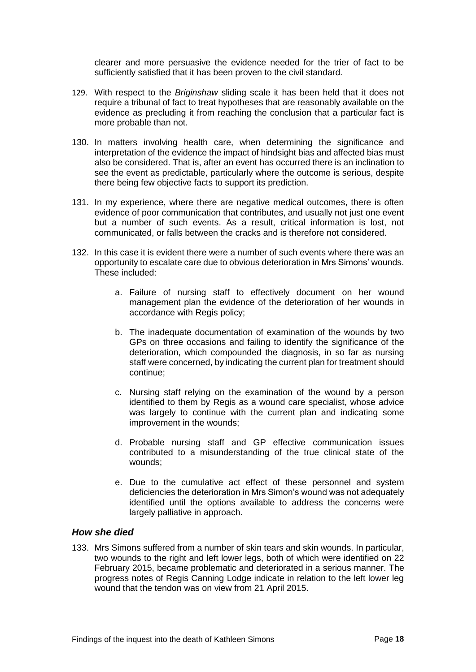clearer and more persuasive the evidence needed for the trier of fact to be sufficiently satisfied that it has been proven to the civil standard.

- 129. With respect to the *Briginshaw* sliding scale it has been held that it does not require a tribunal of fact to treat hypotheses that are reasonably available on the evidence as precluding it from reaching the conclusion that a particular fact is more probable than not.
- 130. In matters involving health care, when determining the significance and interpretation of the evidence the impact of hindsight bias and affected bias must also be considered. That is, after an event has occurred there is an inclination to see the event as predictable, particularly where the outcome is serious, despite there being few objective facts to support its prediction.
- 131. In my experience, where there are negative medical outcomes, there is often evidence of poor communication that contributes, and usually not just one event but a number of such events. As a result, critical information is lost, not communicated, or falls between the cracks and is therefore not considered.
- 132. In this case it is evident there were a number of such events where there was an opportunity to escalate care due to obvious deterioration in Mrs Simons' wounds. These included:
	- a. Failure of nursing staff to effectively document on her wound management plan the evidence of the deterioration of her wounds in accordance with Regis policy;
	- b. The inadequate documentation of examination of the wounds by two GPs on three occasions and failing to identify the significance of the deterioration, which compounded the diagnosis, in so far as nursing staff were concerned, by indicating the current plan for treatment should continue;
	- c. Nursing staff relying on the examination of the wound by a person identified to them by Regis as a wound care specialist, whose advice was largely to continue with the current plan and indicating some improvement in the wounds;
	- d. Probable nursing staff and GP effective communication issues contributed to a misunderstanding of the true clinical state of the wounds;
	- e. Due to the cumulative act effect of these personnel and system deficiencies the deterioration in Mrs Simon's wound was not adequately identified until the options available to address the concerns were largely palliative in approach.

#### <span id="page-19-0"></span>*How she died*

133. Mrs Simons suffered from a number of skin tears and skin wounds. In particular, two wounds to the right and left lower legs, both of which were identified on 22 February 2015, became problematic and deteriorated in a serious manner. The progress notes of Regis Canning Lodge indicate in relation to the left lower leg wound that the tendon was on view from 21 April 2015.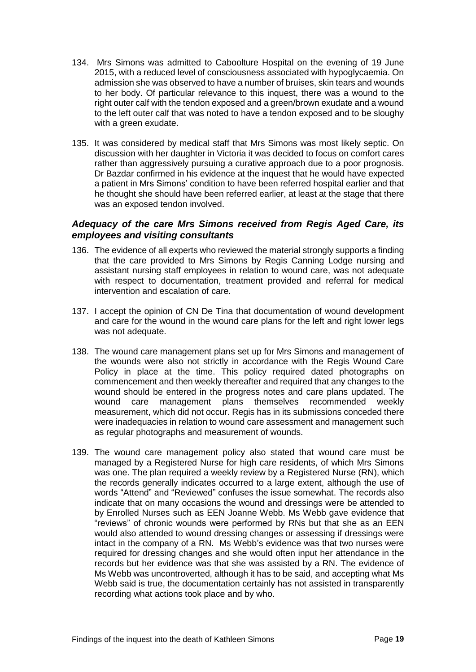- 134. Mrs Simons was admitted to Caboolture Hospital on the evening of 19 June 2015, with a reduced level of consciousness associated with hypoglycaemia. On admission she was observed to have a number of bruises, skin tears and wounds to her body. Of particular relevance to this inquest, there was a wound to the right outer calf with the tendon exposed and a green/brown exudate and a wound to the left outer calf that was noted to have a tendon exposed and to be sloughy with a green exudate.
- 135. It was considered by medical staff that Mrs Simons was most likely septic. On discussion with her daughter in Victoria it was decided to focus on comfort cares rather than aggressively pursuing a curative approach due to a poor prognosis. Dr Bazdar confirmed in his evidence at the inquest that he would have expected a patient in Mrs Simons' condition to have been referred hospital earlier and that he thought she should have been referred earlier, at least at the stage that there was an exposed tendon involved.

#### <span id="page-20-0"></span>*Adequacy of the care Mrs Simons received from Regis Aged Care, its employees and visiting consultants*

- 136. The evidence of all experts who reviewed the material strongly supports a finding that the care provided to Mrs Simons by Regis Canning Lodge nursing and assistant nursing staff employees in relation to wound care, was not adequate with respect to documentation, treatment provided and referral for medical intervention and escalation of care.
- 137. I accept the opinion of CN De Tina that documentation of wound development and care for the wound in the wound care plans for the left and right lower legs was not adequate.
- 138. The wound care management plans set up for Mrs Simons and management of the wounds were also not strictly in accordance with the Regis Wound Care Policy in place at the time. This policy required dated photographs on commencement and then weekly thereafter and required that any changes to the wound should be entered in the progress notes and care plans updated. The wound care management plans themselves recommended weekly measurement, which did not occur. Regis has in its submissions conceded there were inadequacies in relation to wound care assessment and management such as regular photographs and measurement of wounds.
- 139. The wound care management policy also stated that wound care must be managed by a Registered Nurse for high care residents, of which Mrs Simons was one. The plan required a weekly review by a Registered Nurse (RN), which the records generally indicates occurred to a large extent, although the use of words "Attend" and "Reviewed" confuses the issue somewhat. The records also indicate that on many occasions the wound and dressings were be attended to by Enrolled Nurses such as EEN Joanne Webb. Ms Webb gave evidence that "reviews" of chronic wounds were performed by RNs but that she as an EEN would also attended to wound dressing changes or assessing if dressings were intact in the company of a RN. Ms Webb's evidence was that two nurses were required for dressing changes and she would often input her attendance in the records but her evidence was that she was assisted by a RN. The evidence of Ms Webb was uncontroverted, although it has to be said, and accepting what Ms Webb said is true, the documentation certainly has not assisted in transparently recording what actions took place and by who.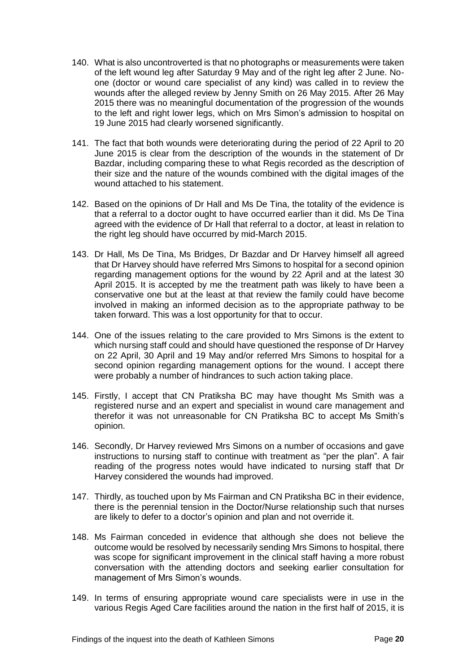- 140. What is also uncontroverted is that no photographs or measurements were taken of the left wound leg after Saturday 9 May and of the right leg after 2 June. Noone (doctor or wound care specialist of any kind) was called in to review the wounds after the alleged review by Jenny Smith on 26 May 2015. After 26 May 2015 there was no meaningful documentation of the progression of the wounds to the left and right lower legs, which on Mrs Simon's admission to hospital on 19 June 2015 had clearly worsened significantly.
- 141. The fact that both wounds were deteriorating during the period of 22 April to 20 June 2015 is clear from the description of the wounds in the statement of Dr Bazdar, including comparing these to what Regis recorded as the description of their size and the nature of the wounds combined with the digital images of the wound attached to his statement.
- 142. Based on the opinions of Dr Hall and Ms De Tina, the totality of the evidence is that a referral to a doctor ought to have occurred earlier than it did. Ms De Tina agreed with the evidence of Dr Hall that referral to a doctor, at least in relation to the right leg should have occurred by mid-March 2015.
- 143. Dr Hall, Ms De Tina, Ms Bridges, Dr Bazdar and Dr Harvey himself all agreed that Dr Harvey should have referred Mrs Simons to hospital for a second opinion regarding management options for the wound by 22 April and at the latest 30 April 2015. It is accepted by me the treatment path was likely to have been a conservative one but at the least at that review the family could have become involved in making an informed decision as to the appropriate pathway to be taken forward. This was a lost opportunity for that to occur.
- 144. One of the issues relating to the care provided to Mrs Simons is the extent to which nursing staff could and should have questioned the response of Dr Harvey on 22 April, 30 April and 19 May and/or referred Mrs Simons to hospital for a second opinion regarding management options for the wound. I accept there were probably a number of hindrances to such action taking place.
- 145. Firstly, I accept that CN Pratiksha BC may have thought Ms Smith was a registered nurse and an expert and specialist in wound care management and therefor it was not unreasonable for CN Pratiksha BC to accept Ms Smith's opinion.
- 146. Secondly, Dr Harvey reviewed Mrs Simons on a number of occasions and gave instructions to nursing staff to continue with treatment as "per the plan". A fair reading of the progress notes would have indicated to nursing staff that Dr Harvey considered the wounds had improved.
- 147. Thirdly, as touched upon by Ms Fairman and CN Pratiksha BC in their evidence, there is the perennial tension in the Doctor/Nurse relationship such that nurses are likely to defer to a doctor's opinion and plan and not override it.
- 148. Ms Fairman conceded in evidence that although she does not believe the outcome would be resolved by necessarily sending Mrs Simons to hospital, there was scope for significant improvement in the clinical staff having a more robust conversation with the attending doctors and seeking earlier consultation for management of Mrs Simon's wounds.
- 149. In terms of ensuring appropriate wound care specialists were in use in the various Regis Aged Care facilities around the nation in the first half of 2015, it is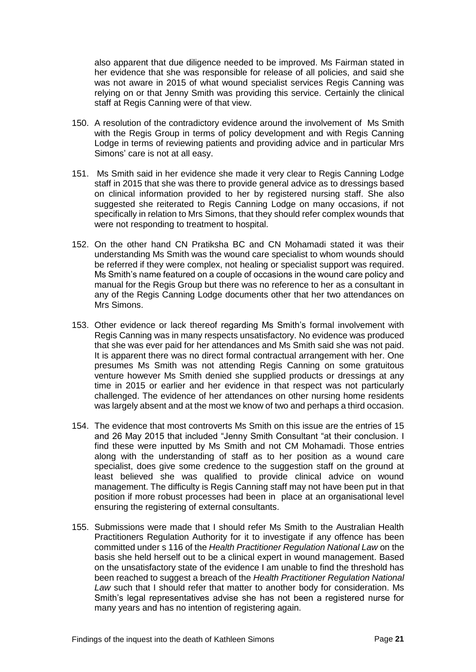also apparent that due diligence needed to be improved. Ms Fairman stated in her evidence that she was responsible for release of all policies, and said she was not aware in 2015 of what wound specialist services Regis Canning was relying on or that Jenny Smith was providing this service. Certainly the clinical staff at Regis Canning were of that view.

- 150. A resolution of the contradictory evidence around the involvement of Ms Smith with the Regis Group in terms of policy development and with Regis Canning Lodge in terms of reviewing patients and providing advice and in particular Mrs Simons' care is not at all easy.
- 151. Ms Smith said in her evidence she made it very clear to Regis Canning Lodge staff in 2015 that she was there to provide general advice as to dressings based on clinical information provided to her by registered nursing staff. She also suggested she reiterated to Regis Canning Lodge on many occasions, if not specifically in relation to Mrs Simons, that they should refer complex wounds that were not responding to treatment to hospital.
- 152. On the other hand CN Pratiksha BC and CN Mohamadi stated it was their understanding Ms Smith was the wound care specialist to whom wounds should be referred if they were complex, not healing or specialist support was required. Ms Smith's name featured on a couple of occasions in the wound care policy and manual for the Regis Group but there was no reference to her as a consultant in any of the Regis Canning Lodge documents other that her two attendances on Mrs Simons.
- 153. Other evidence or lack thereof regarding Ms Smith's formal involvement with Regis Canning was in many respects unsatisfactory. No evidence was produced that she was ever paid for her attendances and Ms Smith said she was not paid. It is apparent there was no direct formal contractual arrangement with her. One presumes Ms Smith was not attending Regis Canning on some gratuitous venture however Ms Smith denied she supplied products or dressings at any time in 2015 or earlier and her evidence in that respect was not particularly challenged. The evidence of her attendances on other nursing home residents was largely absent and at the most we know of two and perhaps a third occasion.
- 154. The evidence that most controverts Ms Smith on this issue are the entries of 15 and 26 May 2015 that included "Jenny Smith Consultant "at their conclusion. I find these were inputted by Ms Smith and not CM Mohamadi. Those entries along with the understanding of staff as to her position as a wound care specialist, does give some credence to the suggestion staff on the ground at least believed she was qualified to provide clinical advice on wound management. The difficulty is Regis Canning staff may not have been put in that position if more robust processes had been in place at an organisational level ensuring the registering of external consultants.
- 155. Submissions were made that I should refer Ms Smith to the Australian Health Practitioners Regulation Authority for it to investigate if any offence has been committed under s 116 of the *Health Practitioner Regulation National Law* on the basis she held herself out to be a clinical expert in wound management. Based on the unsatisfactory state of the evidence I am unable to find the threshold has been reached to suggest a breach of the *Health Practitioner Regulation National Law* such that I should refer that matter to another body for consideration. Ms Smith's legal representatives advise she has not been a registered nurse for many years and has no intention of registering again.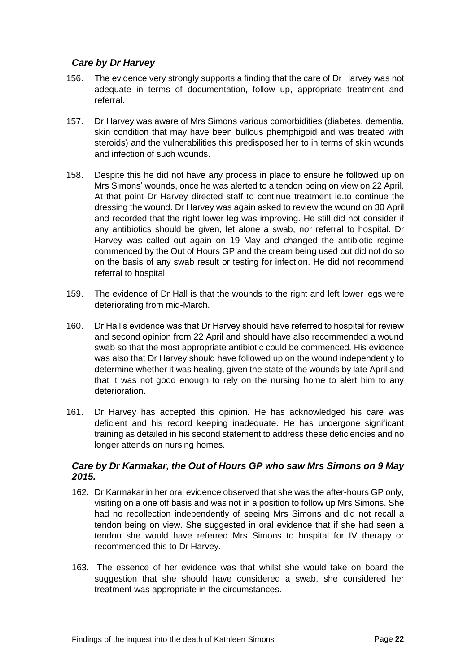#### <span id="page-23-0"></span>*Care by Dr Harvey*

- 156. The evidence very strongly supports a finding that the care of Dr Harvey was not adequate in terms of documentation, follow up, appropriate treatment and referral.
- 157. Dr Harvey was aware of Mrs Simons various comorbidities (diabetes, dementia, skin condition that may have been bullous phemphigoid and was treated with steroids) and the vulnerabilities this predisposed her to in terms of skin wounds and infection of such wounds.
- 158. Despite this he did not have any process in place to ensure he followed up on Mrs Simons' wounds, once he was alerted to a tendon being on view on 22 April. At that point Dr Harvey directed staff to continue treatment ie.to continue the dressing the wound. Dr Harvey was again asked to review the wound on 30 April and recorded that the right lower leg was improving. He still did not consider if any antibiotics should be given, let alone a swab, nor referral to hospital. Dr Harvey was called out again on 19 May and changed the antibiotic regime commenced by the Out of Hours GP and the cream being used but did not do so on the basis of any swab result or testing for infection. He did not recommend referral to hospital.
- 159. The evidence of Dr Hall is that the wounds to the right and left lower legs were deteriorating from mid-March.
- 160. Dr Hall's evidence was that Dr Harvey should have referred to hospital for review and second opinion from 22 April and should have also recommended a wound swab so that the most appropriate antibiotic could be commenced. His evidence was also that Dr Harvey should have followed up on the wound independently to determine whether it was healing, given the state of the wounds by late April and that it was not good enough to rely on the nursing home to alert him to any deterioration.
- 161. Dr Harvey has accepted this opinion. He has acknowledged his care was deficient and his record keeping inadequate. He has undergone significant training as detailed in his second statement to address these deficiencies and no longer attends on nursing homes.

#### <span id="page-23-1"></span>*Care by Dr Karmakar, the Out of Hours GP who saw Mrs Simons on 9 May 2015.*

- 162. Dr Karmakar in her oral evidence observed that she was the after-hours GP only, visiting on a one off basis and was not in a position to follow up Mrs Simons. She had no recollection independently of seeing Mrs Simons and did not recall a tendon being on view. She suggested in oral evidence that if she had seen a tendon she would have referred Mrs Simons to hospital for IV therapy or recommended this to Dr Harvey.
- 163. The essence of her evidence was that whilst she would take on board the suggestion that she should have considered a swab, she considered her treatment was appropriate in the circumstances.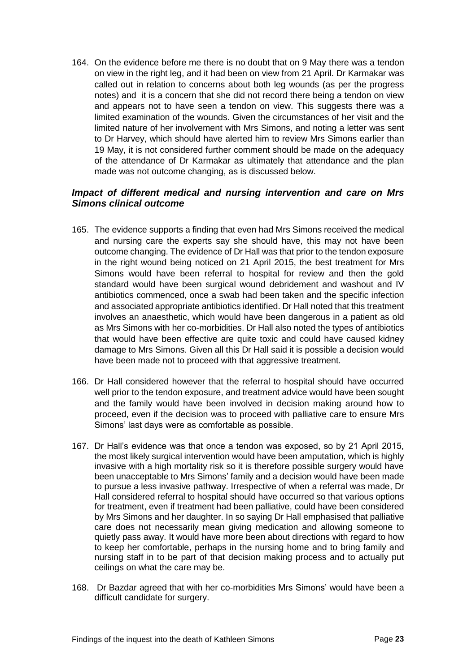164. On the evidence before me there is no doubt that on 9 May there was a tendon on view in the right leg, and it had been on view from 21 April. Dr Karmakar was called out in relation to concerns about both leg wounds (as per the progress notes) and it is a concern that she did not record there being a tendon on view and appears not to have seen a tendon on view. This suggests there was a limited examination of the wounds. Given the circumstances of her visit and the limited nature of her involvement with Mrs Simons, and noting a letter was sent to Dr Harvey, which should have alerted him to review Mrs Simons earlier than 19 May, it is not considered further comment should be made on the adequacy of the attendance of Dr Karmakar as ultimately that attendance and the plan made was not outcome changing, as is discussed below.

#### <span id="page-24-0"></span>*Impact of different medical and nursing intervention and care on Mrs Simons clinical outcome*

- 165. The evidence supports a finding that even had Mrs Simons received the medical and nursing care the experts say she should have, this may not have been outcome changing. The evidence of Dr Hall was that prior to the tendon exposure in the right wound being noticed on 21 April 2015, the best treatment for Mrs Simons would have been referral to hospital for review and then the gold standard would have been surgical wound debridement and washout and IV antibiotics commenced, once a swab had been taken and the specific infection and associated appropriate antibiotics identified. Dr Hall noted that this treatment involves an anaesthetic, which would have been dangerous in a patient as old as Mrs Simons with her co-morbidities. Dr Hall also noted the types of antibiotics that would have been effective are quite toxic and could have caused kidney damage to Mrs Simons. Given all this Dr Hall said it is possible a decision would have been made not to proceed with that aggressive treatment.
- 166. Dr Hall considered however that the referral to hospital should have occurred well prior to the tendon exposure, and treatment advice would have been sought and the family would have been involved in decision making around how to proceed, even if the decision was to proceed with palliative care to ensure Mrs Simons' last days were as comfortable as possible.
- 167. Dr Hall's evidence was that once a tendon was exposed, so by 21 April 2015, the most likely surgical intervention would have been amputation, which is highly invasive with a high mortality risk so it is therefore possible surgery would have been unacceptable to Mrs Simons' family and a decision would have been made to pursue a less invasive pathway. Irrespective of when a referral was made, Dr Hall considered referral to hospital should have occurred so that various options for treatment, even if treatment had been palliative, could have been considered by Mrs Simons and her daughter. In so saying Dr Hall emphasised that palliative care does not necessarily mean giving medication and allowing someone to quietly pass away. It would have more been about directions with regard to how to keep her comfortable, perhaps in the nursing home and to bring family and nursing staff in to be part of that decision making process and to actually put ceilings on what the care may be.
- 168. Dr Bazdar agreed that with her co-morbidities Mrs Simons' would have been a difficult candidate for surgery.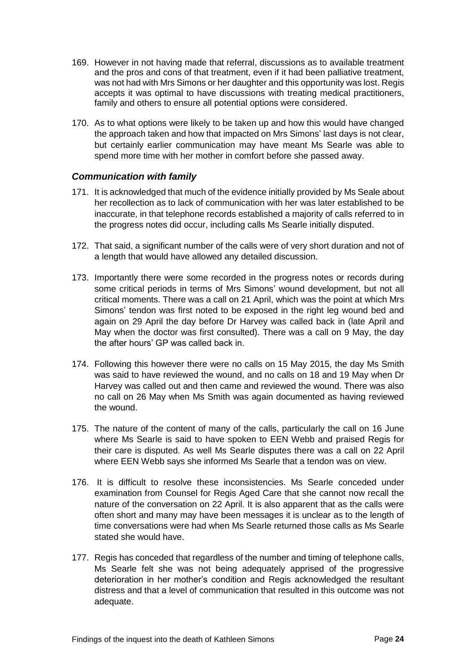- 169. However in not having made that referral, discussions as to available treatment and the pros and cons of that treatment, even if it had been palliative treatment, was not had with Mrs Simons or her daughter and this opportunity was lost. Regis accepts it was optimal to have discussions with treating medical practitioners, family and others to ensure all potential options were considered.
- 170. As to what options were likely to be taken up and how this would have changed the approach taken and how that impacted on Mrs Simons' last days is not clear, but certainly earlier communication may have meant Ms Searle was able to spend more time with her mother in comfort before she passed away.

#### <span id="page-25-0"></span>*Communication with family*

- 171. It is acknowledged that much of the evidence initially provided by Ms Seale about her recollection as to lack of communication with her was later established to be inaccurate, in that telephone records established a majority of calls referred to in the progress notes did occur, including calls Ms Searle initially disputed.
- 172. That said, a significant number of the calls were of very short duration and not of a length that would have allowed any detailed discussion.
- 173. Importantly there were some recorded in the progress notes or records during some critical periods in terms of Mrs Simons' wound development, but not all critical moments. There was a call on 21 April, which was the point at which Mrs Simons' tendon was first noted to be exposed in the right leg wound bed and again on 29 April the day before Dr Harvey was called back in (late April and May when the doctor was first consulted). There was a call on 9 May, the day the after hours' GP was called back in.
- 174. Following this however there were no calls on 15 May 2015, the day Ms Smith was said to have reviewed the wound, and no calls on 18 and 19 May when Dr Harvey was called out and then came and reviewed the wound. There was also no call on 26 May when Ms Smith was again documented as having reviewed the wound.
- 175. The nature of the content of many of the calls, particularly the call on 16 June where Ms Searle is said to have spoken to EEN Webb and praised Regis for their care is disputed. As well Ms Searle disputes there was a call on 22 April where EEN Webb says she informed Ms Searle that a tendon was on view.
- 176. It is difficult to resolve these inconsistencies. Ms Searle conceded under examination from Counsel for Regis Aged Care that she cannot now recall the nature of the conversation on 22 April. It is also apparent that as the calls were often short and many may have been messages it is unclear as to the length of time conversations were had when Ms Searle returned those calls as Ms Searle stated she would have.
- 177. Regis has conceded that regardless of the number and timing of telephone calls, Ms Searle felt she was not being adequately apprised of the progressive deterioration in her mother's condition and Regis acknowledged the resultant distress and that a level of communication that resulted in this outcome was not adequate.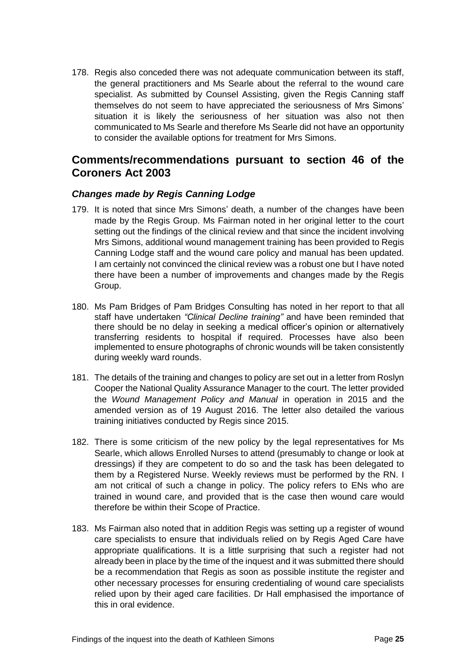178. Regis also conceded there was not adequate communication between its staff, the general practitioners and Ms Searle about the referral to the wound care specialist. As submitted by Counsel Assisting, given the Regis Canning staff themselves do not seem to have appreciated the seriousness of Mrs Simons' situation it is likely the seriousness of her situation was also not then communicated to Ms Searle and therefore Ms Searle did not have an opportunity to consider the available options for treatment for Mrs Simons.

# <span id="page-26-0"></span>**Comments/recommendations pursuant to section 46 of the Coroners Act 2003**

#### <span id="page-26-1"></span>*Changes made by Regis Canning Lodge*

- 179. It is noted that since Mrs Simons' death, a number of the changes have been made by the Regis Group. Ms Fairman noted in her original letter to the court setting out the findings of the clinical review and that since the incident involving Mrs Simons, additional wound management training has been provided to Regis Canning Lodge staff and the wound care policy and manual has been updated. I am certainly not convinced the clinical review was a robust one but I have noted there have been a number of improvements and changes made by the Regis Group.
- 180. Ms Pam Bridges of Pam Bridges Consulting has noted in her report to that all staff have undertaken *"Clinical Decline training"* and have been reminded that there should be no delay in seeking a medical officer's opinion or alternatively transferring residents to hospital if required. Processes have also been implemented to ensure photographs of chronic wounds will be taken consistently during weekly ward rounds.
- 181. The details of the training and changes to policy are set out in a letter from Roslyn Cooper the National Quality Assurance Manager to the court. The letter provided the *Wound Management Policy and Manual* in operation in 2015 and the amended version as of 19 August 2016. The letter also detailed the various training initiatives conducted by Regis since 2015.
- 182. There is some criticism of the new policy by the legal representatives for Ms Searle, which allows Enrolled Nurses to attend (presumably to change or look at dressings) if they are competent to do so and the task has been delegated to them by a Registered Nurse. Weekly reviews must be performed by the RN. I am not critical of such a change in policy. The policy refers to ENs who are trained in wound care, and provided that is the case then wound care would therefore be within their Scope of Practice.
- 183. Ms Fairman also noted that in addition Regis was setting up a register of wound care specialists to ensure that individuals relied on by Regis Aged Care have appropriate qualifications. It is a little surprising that such a register had not already been in place by the time of the inquest and it was submitted there should be a recommendation that Regis as soon as possible institute the register and other necessary processes for ensuring credentialing of wound care specialists relied upon by their aged care facilities. Dr Hall emphasised the importance of this in oral evidence.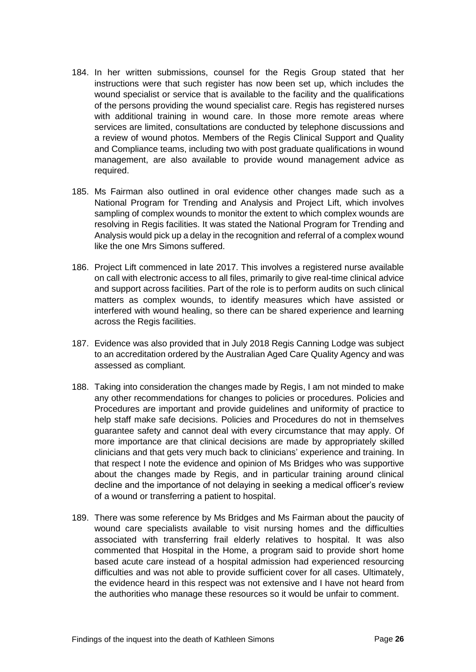- 184. In her written submissions, counsel for the Regis Group stated that her instructions were that such register has now been set up, which includes the wound specialist or service that is available to the facility and the qualifications of the persons providing the wound specialist care. Regis has registered nurses with additional training in wound care. In those more remote areas where services are limited, consultations are conducted by telephone discussions and a review of wound photos. Members of the Regis Clinical Support and Quality and Compliance teams, including two with post graduate qualifications in wound management, are also available to provide wound management advice as required.
- 185. Ms Fairman also outlined in oral evidence other changes made such as a National Program for Trending and Analysis and Project Lift, which involves sampling of complex wounds to monitor the extent to which complex wounds are resolving in Regis facilities. It was stated the National Program for Trending and Analysis would pick up a delay in the recognition and referral of a complex wound like the one Mrs Simons suffered.
- 186. Project Lift commenced in late 2017. This involves a registered nurse available on call with electronic access to all files, primarily to give real-time clinical advice and support across facilities. Part of the role is to perform audits on such clinical matters as complex wounds, to identify measures which have assisted or interfered with wound healing, so there can be shared experience and learning across the Regis facilities.
- 187. Evidence was also provided that in July 2018 Regis Canning Lodge was subject to an accreditation ordered by the Australian Aged Care Quality Agency and was assessed as compliant*.*
- 188. Taking into consideration the changes made by Regis, I am not minded to make any other recommendations for changes to policies or procedures. Policies and Procedures are important and provide guidelines and uniformity of practice to help staff make safe decisions. Policies and Procedures do not in themselves guarantee safety and cannot deal with every circumstance that may apply. Of more importance are that clinical decisions are made by appropriately skilled clinicians and that gets very much back to clinicians' experience and training. In that respect I note the evidence and opinion of Ms Bridges who was supportive about the changes made by Regis, and in particular training around clinical decline and the importance of not delaying in seeking a medical officer's review of a wound or transferring a patient to hospital.
- 189. There was some reference by Ms Bridges and Ms Fairman about the paucity of wound care specialists available to visit nursing homes and the difficulties associated with transferring frail elderly relatives to hospital. It was also commented that Hospital in the Home, a program said to provide short home based acute care instead of a hospital admission had experienced resourcing difficulties and was not able to provide sufficient cover for all cases. Ultimately, the evidence heard in this respect was not extensive and I have not heard from the authorities who manage these resources so it would be unfair to comment.